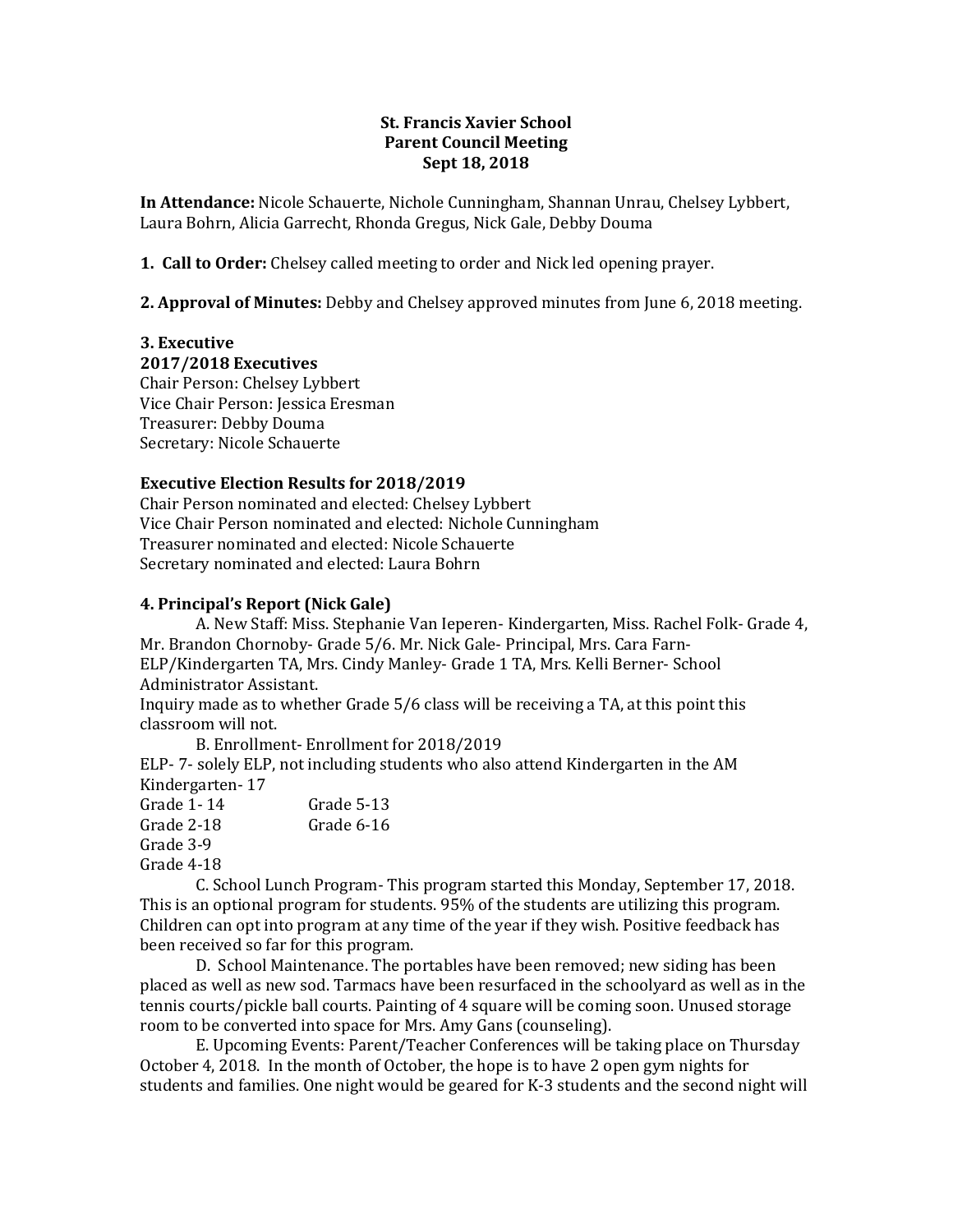### **St. Francis Xavier School Parent Council Meeting Sept 18, 2018**

**In Attendance:** Nicole Schauerte, Nichole Cunningham, Shannan Unrau, Chelsey Lybbert, Laura Bohrn, Alicia Garrecht, Rhonda Gregus, Nick Gale, Debby Douma

**1. Call to Order:** Chelsey called meeting to order and Nick led opening prayer.

**2. Approval of Minutes:** Debby and Chelsey approved minutes from June 6, 2018 meeting.

## **3. Executive**

**2017/2018 Executives** Chair Person: Chelsey Lybbert Vice Chair Person: Jessica Eresman Treasurer: Debby Douma

Secretary: Nicole Schauerte

## **Executive Election Results for 2018/2019**

Chair Person nominated and elected: Chelsey Lybbert Vice Chair Person nominated and elected: Nichole Cunningham Treasurer nominated and elected: Nicole Schauerte Secretary nominated and elected: Laura Bohrn

# **4. Principal's Report (Nick Gale)**

A. New Staff: Miss. Stephanie Van Ieperen- Kindergarten, Miss. Rachel Folk- Grade 4, Mr. Brandon Chornoby- Grade 5/6. Mr. Nick Gale- Principal, Mrs. Cara Farn-ELP/Kindergarten TA, Mrs. Cindy Manley- Grade 1 TA, Mrs. Kelli Berner- School Administrator Assistant.

Inquiry made as to whether Grade 5/6 class will be receiving a TA, at this point this classroom will not.

B. Enrollment- Enrollment for 2018/2019 ELP- 7- solely ELP, not including students who also attend Kindergarten in the AM Kindergarten- 17

Grade 1- 14 Grade 5-13 Grade 2-18 Grade 6-16

Grade 3-9

Grade 4-18

C. School Lunch Program- This program started this Monday, September 17, 2018. This is an optional program for students. 95% of the students are utilizing this program. Children can opt into program at any time of the year if they wish. Positive feedback has been received so far for this program.

D. School Maintenance. The portables have been removed; new siding has been placed as well as new sod. Tarmacs have been resurfaced in the schoolyard as well as in the tennis courts/pickle ball courts. Painting of 4 square will be coming soon. Unused storage room to be converted into space for Mrs. Amy Gans (counseling).

E. Upcoming Events: Parent/Teacher Conferences will be taking place on Thursday October 4, 2018. In the month of October, the hope is to have 2 open gym nights for students and families. One night would be geared for K-3 students and the second night will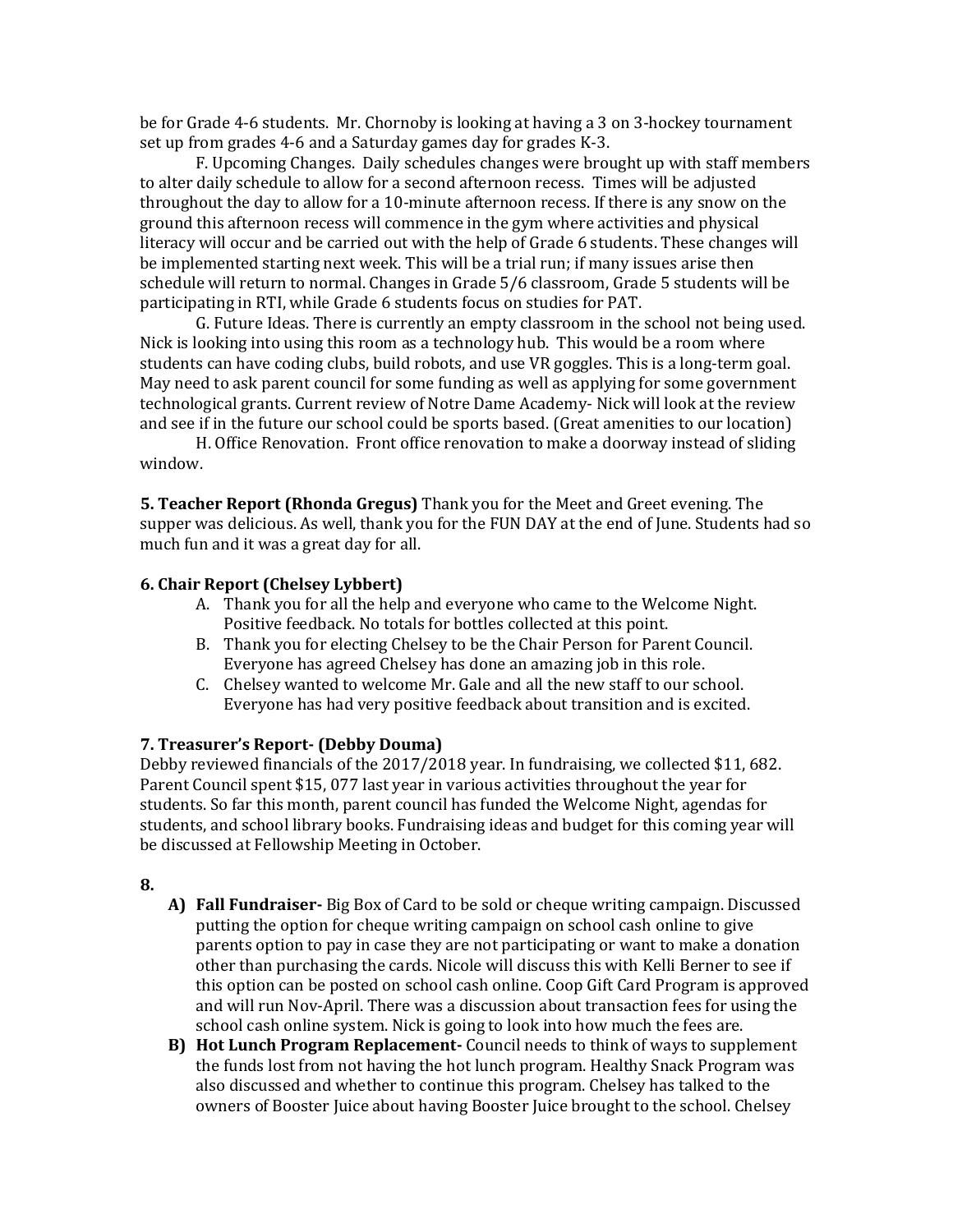be for Grade 4-6 students. Mr. Chornoby is looking at having a 3 on 3-hockey tournament set up from grades 4-6 and a Saturday games day for grades K-3.

F. Upcoming Changes. Daily schedules changes were brought up with staff members to alter daily schedule to allow for a second afternoon recess. Times will be adjusted throughout the day to allow for a 10-minute afternoon recess. If there is any snow on the ground this afternoon recess will commence in the gym where activities and physical literacy will occur and be carried out with the help of Grade 6 students. These changes will be implemented starting next week. This will be a trial run; if many issues arise then schedule will return to normal. Changes in Grade 5/6 classroom, Grade 5 students will be participating in RTI, while Grade 6 students focus on studies for PAT.

G. Future Ideas. There is currently an empty classroom in the school not being used. Nick is looking into using this room as a technology hub. This would be a room where students can have coding clubs, build robots, and use VR goggles. This is a long-term goal. May need to ask parent council for some funding as well as applying for some government technological grants. Current review of Notre Dame Academy- Nick will look at the review and see if in the future our school could be sports based. (Great amenities to our location)

H. Office Renovation. Front office renovation to make a doorway instead of sliding window.

**5. Teacher Report (Rhonda Gregus)** Thank you for the Meet and Greet evening. The supper was delicious. As well, thank you for the FUN DAY at the end of June. Students had so much fun and it was a great day for all.

## **6. Chair Report (Chelsey Lybbert)**

- A. Thank you for all the help and everyone who came to the Welcome Night. Positive feedback. No totals for bottles collected at this point.
- B. Thank you for electing Chelsey to be the Chair Person for Parent Council. Everyone has agreed Chelsey has done an amazing job in this role.
- C. Chelsey wanted to welcome Mr. Gale and all the new staff to our school. Everyone has had very positive feedback about transition and is excited.

#### **7. Treasurer's Report- (Debby Douma)**

Debby reviewed financials of the 2017/2018 year. In fundraising, we collected \$11, 682. Parent Council spent \$15, 077 last year in various activities throughout the year for students. So far this month, parent council has funded the Welcome Night, agendas for students, and school library books. Fundraising ideas and budget for this coming year will be discussed at Fellowship Meeting in October.

#### **8.**

- **A) Fall Fundraiser-** Big Box of Card to be sold or cheque writing campaign. Discussed putting the option for cheque writing campaign on school cash online to give parents option to pay in case they are not participating or want to make a donation other than purchasing the cards. Nicole will discuss this with Kelli Berner to see if this option can be posted on school cash online. Coop Gift Card Program is approved and will run Nov-April. There was a discussion about transaction fees for using the school cash online system. Nick is going to look into how much the fees are.
- **B) Hot Lunch Program Replacement-** Council needs to think of ways to supplement the funds lost from not having the hot lunch program. Healthy Snack Program was also discussed and whether to continue this program. Chelsey has talked to the owners of Booster Juice about having Booster Juice brought to the school. Chelsey